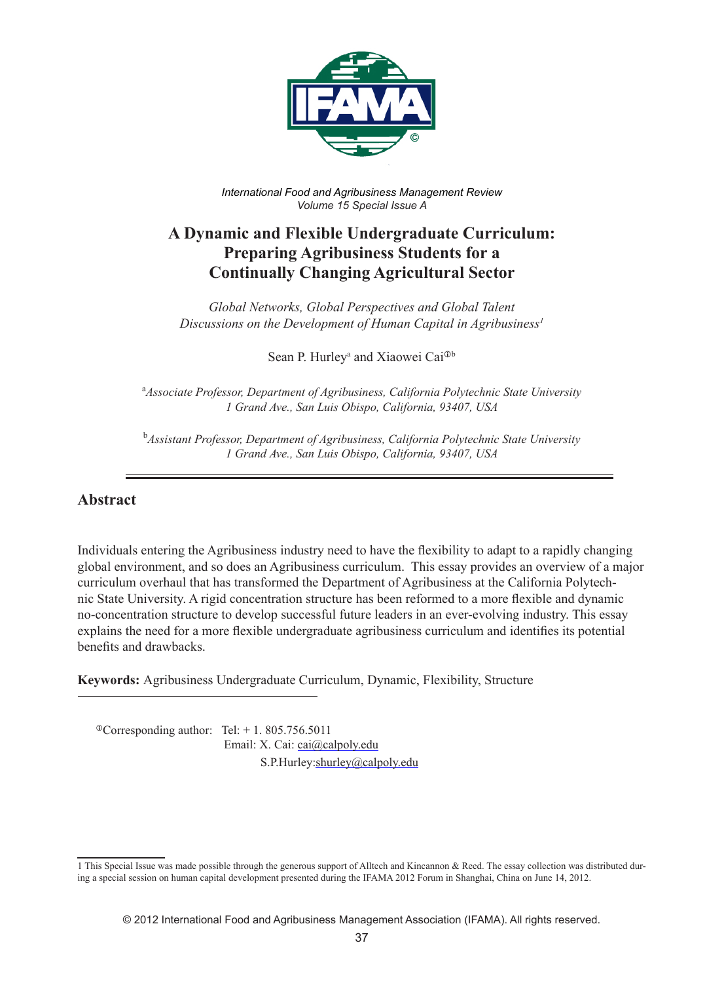

*International Food and Agribusiness Management Review Volume 15 Special Issue A*

# **A Dynamic and Flexible Undergraduate Curriculum: Preparing Agribusiness Students for a Continually Changing Agricultural Sector**

*Global Networks, Global Perspectives and Global Talent Discussions on the Development of Human Capital in Agribusiness1*

Sean P. Hurley<sup>a</sup> and Xiaowei Cai<sup>®b</sup>

a *Associate Professor, Department of Agribusiness, California Polytechnic State University 1 Grand Ave., San Luis Obispo, California, 93407, USA*

b *Assistant Professor, Department of Agribusiness, California Polytechnic State University 1 Grand Ave., San Luis Obispo, California, 93407, USA*

#### **Abstract**

Individuals entering the Agribusiness industry need to have the flexibility to adapt to a rapidly changing global environment, and so does an Agribusiness curriculum. This essay provides an overview of a major curriculum overhaul that has transformed the Department of Agribusiness at the California Polytechnic State University. A rigid concentration structure has been reformed to a more flexible and dynamic no-concentration structure to develop successful future leaders in an ever-evolving industry. This essay explains the need for a more flexible undergraduate agribusiness curriculum and identifies its potential benefits and drawbacks.

**Keywords:** Agribusiness Undergraduate Curriculum, Dynamic, Flexibility, Structure

 $\textdegree$ Corresponding author: Tel: + 1. 805.756.5011 Email: X. Cai: cai@calpoly.edu S.P.Hurley:shurley@calpoly.edu

<sup>1</sup> This Special Issue was made possible through the generous support of Alltech and Kincannon & Reed. The essay collection was distributed during a special session on human capital development presented during the IFAMA 2012 Forum in Shanghai, China on June 14, 2012.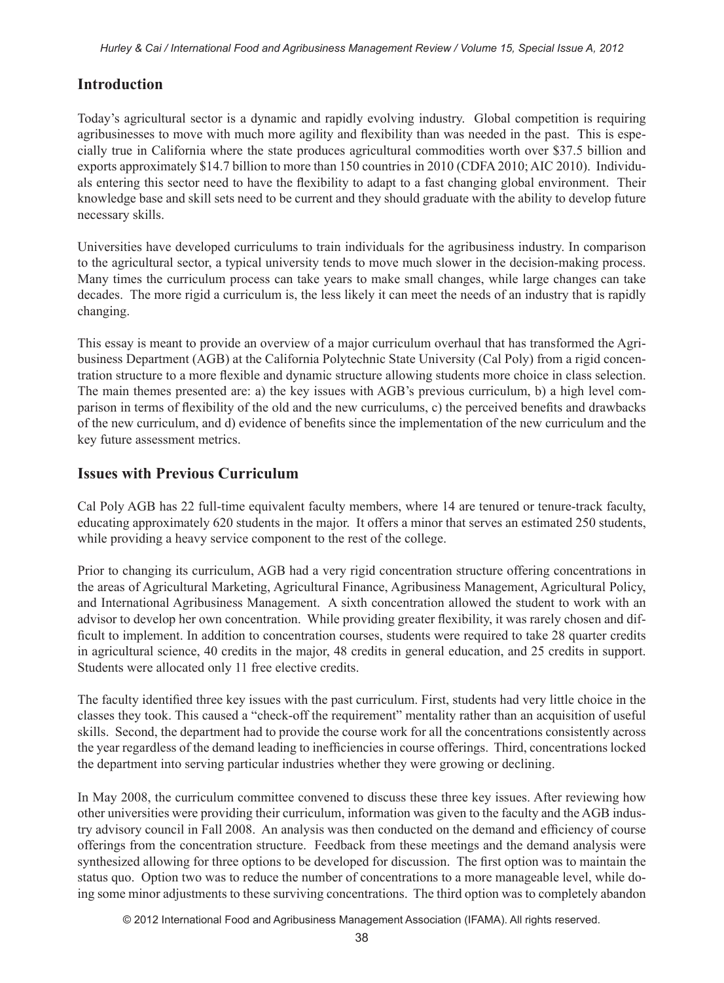# **Introduction**

Today's agricultural sector is a dynamic and rapidly evolving industry. Global competition is requiring agribusinesses to move with much more agility and flexibility than was needed in the past. This is especially true in California where the state produces agricultural commodities worth over \$37.5 billion and exports approximately \$14.7 billion to more than 150 countries in 2010 (CDFA 2010; AIC 2010). Individuals entering this sector need to have the flexibility to adapt to a fast changing global environment. Their knowledge base and skill sets need to be current and they should graduate with the ability to develop future necessary skills.

Universities have developed curriculums to train individuals for the agribusiness industry. In comparison to the agricultural sector, a typical university tends to move much slower in the decision-making process. Many times the curriculum process can take years to make small changes, while large changes can take decades. The more rigid a curriculum is, the less likely it can meet the needs of an industry that is rapidly changing.

This essay is meant to provide an overview of a major curriculum overhaul that has transformed the Agribusiness Department (AGB) at the California Polytechnic State University (Cal Poly) from a rigid concentration structure to a more flexible and dynamic structure allowing students more choice in class selection. The main themes presented are: a) the key issues with AGB's previous curriculum, b) a high level comparison in terms of flexibility of the old and the new curriculums, c) the perceived benefits and drawbacks of the new curriculum, and d) evidence of benefits since the implementation of the new curriculum and the key future assessment metrics.

# **Issues with Previous Curriculum**

Cal Poly AGB has 22 full-time equivalent faculty members, where 14 are tenured or tenure-track faculty, educating approximately 620 students in the major. It offers a minor that serves an estimated 250 students, while providing a heavy service component to the rest of the college.

Prior to changing its curriculum, AGB had a very rigid concentration structure offering concentrations in the areas of Agricultural Marketing, Agricultural Finance, Agribusiness Management, Agricultural Policy, and International Agribusiness Management. A sixth concentration allowed the student to work with an advisor to develop her own concentration. While providing greater flexibility, it was rarely chosen and difficult to implement. In addition to concentration courses, students were required to take 28 quarter credits in agricultural science, 40 credits in the major, 48 credits in general education, and 25 credits in support. Students were allocated only 11 free elective credits.

The faculty identified three key issues with the past curriculum. First, students had very little choice in the classes they took. This caused a "check-off the requirement" mentality rather than an acquisition of useful skills. Second, the department had to provide the course work for all the concentrations consistently across the year regardless of the demand leading to inefficiencies in course offerings. Third, concentrations locked the department into serving particular industries whether they were growing or declining.

In May 2008, the curriculum committee convened to discuss these three key issues. After reviewing how other universities were providing their curriculum, information was given to the faculty and the AGB industry advisory council in Fall 2008. An analysis was then conducted on the demand and efficiency of course offerings from the concentration structure. Feedback from these meetings and the demand analysis were synthesized allowing for three options to be developed for discussion. The first option was to maintain the status quo. Option two was to reduce the number of concentrations to a more manageable level, while doing some minor adjustments to these surviving concentrations. The third option was to completely abandon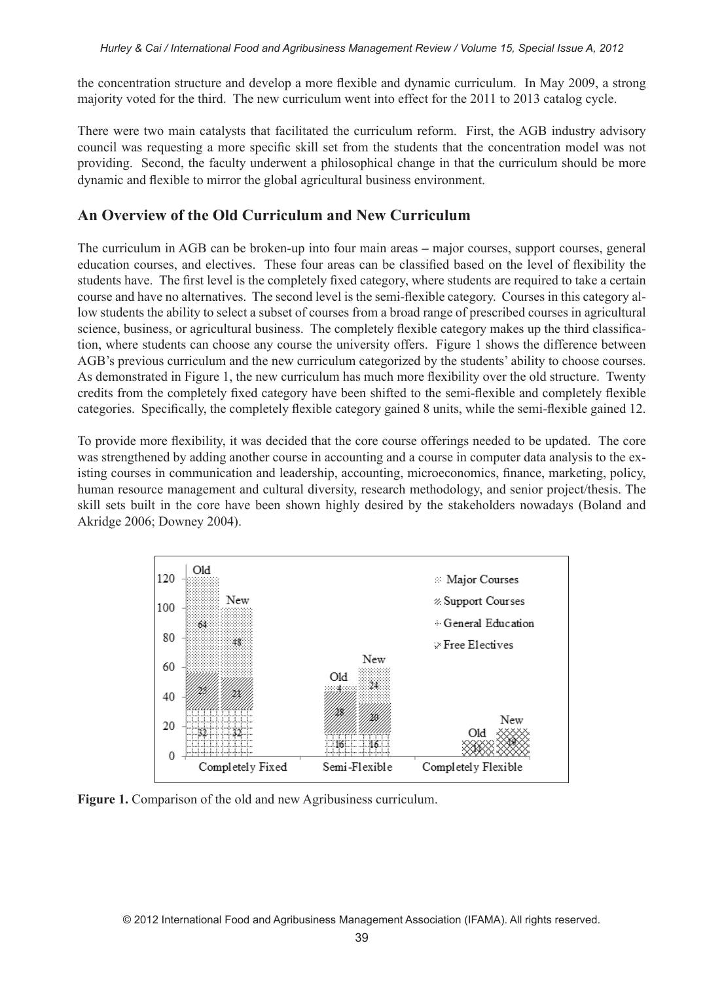the concentration structure and develop a more flexible and dynamic curriculum. In May 2009, a strong majority voted for the third. The new curriculum went into effect for the 2011 to 2013 catalog cycle.

There were two main catalysts that facilitated the curriculum reform. First, the AGB industry advisory council was requesting a more specific skill set from the students that the concentration model was not providing. Second, the faculty underwent a philosophical change in that the curriculum should be more dynamic and flexible to mirror the global agricultural business environment.

#### **An Overview of the Old Curriculum and New Curriculum**

The curriculum in AGB can be broken-up into four main areas **–** major courses, support courses, general education courses, and electives. These four areas can be classified based on the level of flexibility the students have. The first level is the completely fixed category, where students are required to take a certain course and have no alternatives. The second level is the semi-flexible category. Courses in this category allow students the ability to select a subset of courses from a broad range of prescribed courses in agricultural science, business, or agricultural business. The completely flexible category makes up the third classification, where students can choose any course the university offers. Figure 1 shows the difference between AGB's previous curriculum and the new curriculum categorized by the students' ability to choose courses. As demonstrated in Figure 1, the new curriculum has much more flexibility over the old structure. Twenty credits from the completely fixed category have been shifted to the semi-flexible and completely flexible categories. Specifically, the completely flexible category gained 8 units, while the semi-flexible gained 12.

To provide more flexibility, it was decided that the core course offerings needed to be updated. The core was strengthened by adding another course in accounting and a course in computer data analysis to the existing courses in communication and leadership, accounting, microeconomics, finance, marketing, policy, human resource management and cultural diversity, research methodology, and senior project/thesis. The skill sets built in the core have been shown highly desired by the stakeholders nowadays (Boland and Akridge 2006; Downey 2004).



**Figure 1.** Comparison of the old and new Agribusiness curriculum.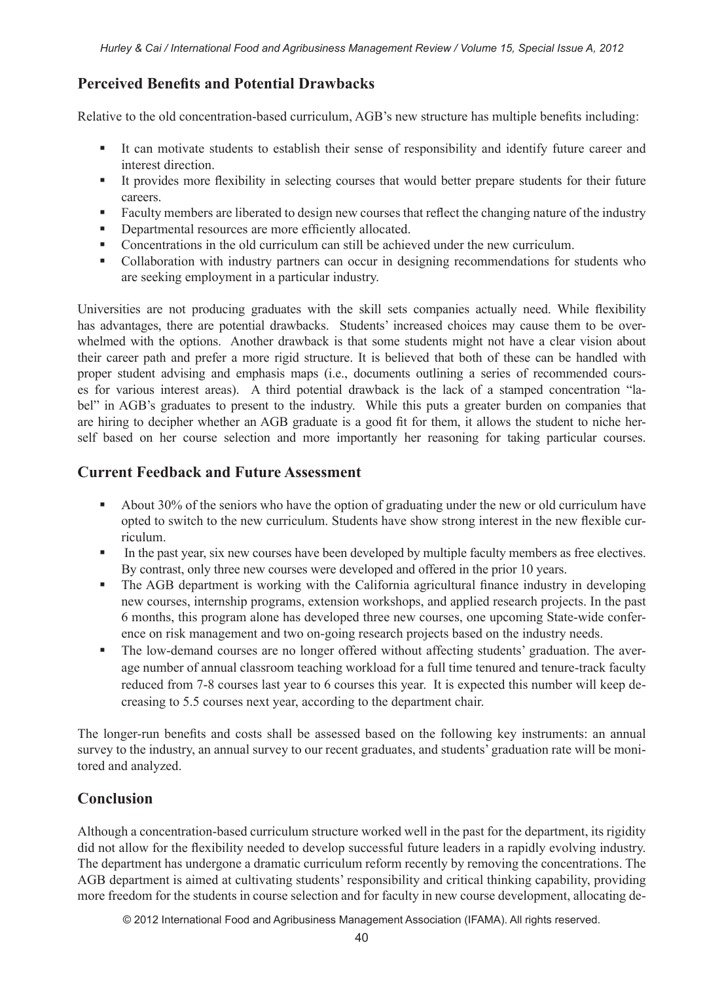### **Perceived Benefits and Potential Drawbacks**

Relative to the old concentration-based curriculum, AGB's new structure has multiple benefits including:

- It can motivate students to establish their sense of responsibility and identify future career and interest direction.
- It provides more flexibility in selecting courses that would better prepare students for their future careers.
- Faculty members are liberated to design new courses that reflect the changing nature of the industry
- Departmental resources are more efficiently allocated.
- Concentrations in the old curriculum can still be achieved under the new curriculum.
- Collaboration with industry partners can occur in designing recommendations for students who are seeking employment in a particular industry.

Universities are not producing graduates with the skill sets companies actually need. While flexibility has advantages, there are potential drawbacks. Students' increased choices may cause them to be overwhelmed with the options. Another drawback is that some students might not have a clear vision about their career path and prefer a more rigid structure. It is believed that both of these can be handled with proper student advising and emphasis maps (i.e., documents outlining a series of recommended courses for various interest areas). A third potential drawback is the lack of a stamped concentration "label" in AGB's graduates to present to the industry. While this puts a greater burden on companies that are hiring to decipher whether an AGB graduate is a good fit for them, it allows the student to niche herself based on her course selection and more importantly her reasoning for taking particular courses.

#### **Current Feedback and Future Assessment**

- About 30% of the seniors who have the option of graduating under the new or old curriculum have opted to switch to the new curriculum. Students have show strong interest in the new flexible curriculum.
- In the past year, six new courses have been developed by multiple faculty members as free electives. By contrast, only three new courses were developed and offered in the prior 10 years.
- The AGB department is working with the California agricultural finance industry in developing new courses, internship programs, extension workshops, and applied research projects. In the past 6 months, this program alone has developed three new courses, one upcoming State-wide conference on risk management and two on-going research projects based on the industry needs.
- The low-demand courses are no longer offered without affecting students' graduation. The average number of annual classroom teaching workload for a full time tenured and tenure-track faculty reduced from 7-8 courses last year to 6 courses this year. It is expected this number will keep decreasing to 5.5 courses next year, according to the department chair.

The longer-run benefits and costs shall be assessed based on the following key instruments: an annual survey to the industry, an annual survey to our recent graduates, and students' graduation rate will be monitored and analyzed.

# **Conclusion**

Although a concentration-based curriculum structure worked well in the past for the department, its rigidity did not allow for the flexibility needed to develop successful future leaders in a rapidly evolving industry. The department has undergone a dramatic curriculum reform recently by removing the concentrations. The AGB department is aimed at cultivating students' responsibility and critical thinking capability, providing more freedom for the students in course selection and for faculty in new course development, allocating de-

© 2012 International Food and Agribusiness Management Association (IFAMA). All rights reserved.